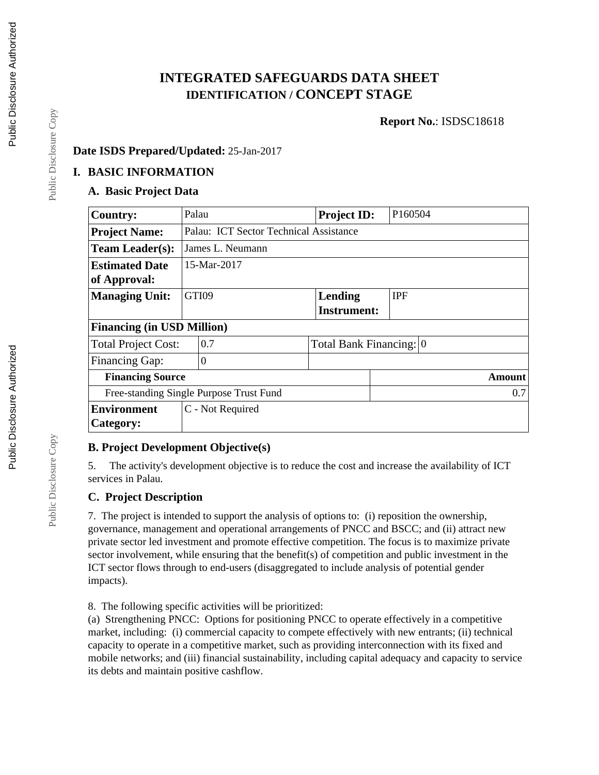# **INTEGRATED SAFEGUARDS DATA SHEET IDENTIFICATION / CONCEPT STAGE**

**Report No.**: ISDSC18618

#### **Date ISDS Prepared/Updated:** 25-Jan-2017

#### **I. BASIC INFORMATION**

#### **A. Basic Project Data**

| <b>Country:</b>                         | Palau       |                                        | <b>Project ID:</b>      |  | P160504    |  |  |
|-----------------------------------------|-------------|----------------------------------------|-------------------------|--|------------|--|--|
| <b>Project Name:</b>                    |             | Palau: ICT Sector Technical Assistance |                         |  |            |  |  |
| <b>Team Leader(s):</b>                  |             | James L. Neumann                       |                         |  |            |  |  |
| <b>Estimated Date</b>                   | 15-Mar-2017 |                                        |                         |  |            |  |  |
| of Approval:                            |             |                                        |                         |  |            |  |  |
| <b>Managing Unit:</b>                   |             | GTI09                                  | Lending                 |  | <b>IPF</b> |  |  |
|                                         |             |                                        | <b>Instrument:</b>      |  |            |  |  |
| <b>Financing (in USD Million)</b>       |             |                                        |                         |  |            |  |  |
| <b>Total Project Cost:</b>              |             | 0.7                                    | Total Bank Financing: 0 |  |            |  |  |
| <b>Financing Gap:</b>                   |             | $\overline{0}$                         |                         |  |            |  |  |
| <b>Financing Source</b>                 |             |                                        |                         |  | Amount     |  |  |
| Free-standing Single Purpose Trust Fund |             |                                        |                         |  | 0.7        |  |  |
| <b>Environment</b>                      |             | C - Not Required                       |                         |  |            |  |  |
| Category:                               |             |                                        |                         |  |            |  |  |

### **B. Project Development Objective(s)**

5. The activity's development objective is to reduce the cost and increase the availability of ICT services in Palau.

### **C. Project Description**

7. The project is intended to support the analysis of options to: (i) reposition the ownership, governance, management and operational arrangements of PNCC and BSCC; and (ii) attract new private sector led investment and promote effective competition. The focus is to maximize private sector involvement, while ensuring that the benefit(s) of competition and public investment in the ICT sector flows through to end-users (disaggregated to include analysis of potential gender impacts).

8. The following specific activities will be prioritized:

(a) Strengthening PNCC: Options for positioning PNCC to operate effectively in a competitive market, including: (i) commercial capacity to compete effectively with new entrants; (ii) technical capacity to operate in a competitive market, such as providing interconnection with its fixed and mobile networks; and (iii) financial sustainability, including capital adequacy and capacity to service its debts and maintain positive cashflow.

Public Disclosure Copy

Public Disclosure Copy

Public Disclosure Copy

Public Disclosure Copy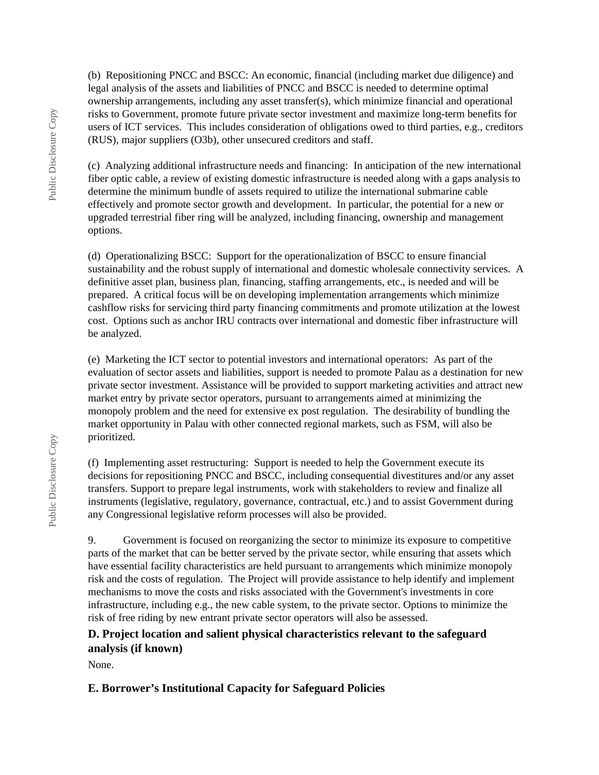(b) Repositioning PNCC and BSCC: An economic, financial (including market due diligence) and legal analysis of the assets and liabilities of PNCC and BSCC is needed to determine optimal ownership arrangements, including any asset transfer(s), which minimize financial and operational risks to Government, promote future private sector investment and maximize long-term benefits for users of ICT services. This includes consideration of obligations owed to third parties, e.g., creditors (RUS), major suppliers (O3b), other unsecured creditors and staff.

(c) Analyzing additional infrastructure needs and financing: In anticipation of the new international fiber optic cable, a review of existing domestic infrastructure is needed along with a gaps analysis to determine the minimum bundle of assets required to utilize the international submarine cable effectively and promote sector growth and development. In particular, the potential for a new or upgraded terrestrial fiber ring will be analyzed, including financing, ownership and management options.

(d) Operationalizing BSCC: Support for the operationalization of BSCC to ensure financial sustainability and the robust supply of international and domestic wholesale connectivity services. A definitive asset plan, business plan, financing, staffing arrangements, etc., is needed and will be prepared. A critical focus will be on developing implementation arrangements which minimize cashflow risks for servicing third party financing commitments and promote utilization at the lowest cost. Options such as anchor IRU contracts over international and domestic fiber infrastructure will be analyzed.

(e) Marketing the ICT sector to potential investors and international operators: As part of the evaluation of sector assets and liabilities, support is needed to promote Palau as a destination for new private sector investment. Assistance will be provided to support marketing activities and attract new market entry by private sector operators, pursuant to arrangements aimed at minimizing the monopoly problem and the need for extensive ex post regulation. The desirability of bundling the market opportunity in Palau with other connected regional markets, such as FSM, will also be prioritized.

(f) Implementing asset restructuring: Support is needed to help the Government execute its decisions for repositioning PNCC and BSCC, including consequential divestitures and/or any asset transfers. Support to prepare legal instruments, work with stakeholders to review and finalize all instruments (legislative, regulatory, governance, contractual, etc.) and to assist Government during any Congressional legislative reform processes will also be provided.

9. Government is focused on reorganizing the sector to minimize its exposure to competitive parts of the market that can be better served by the private sector, while ensuring that assets which have essential facility characteristics are held pursuant to arrangements which minimize monopoly risk and the costs of regulation. The Project will provide assistance to help identify and implement mechanisms to move the costs and risks associated with the Government's investments in core infrastructure, including e.g., the new cable system, to the private sector. Options to minimize the risk of free riding by new entrant private sector operators will also be assessed.

### **D. Project location and salient physical characteristics relevant to the safeguard analysis (if known)**

None.

# **E. Borrower's Institutional Capacity for Safeguard Policies**